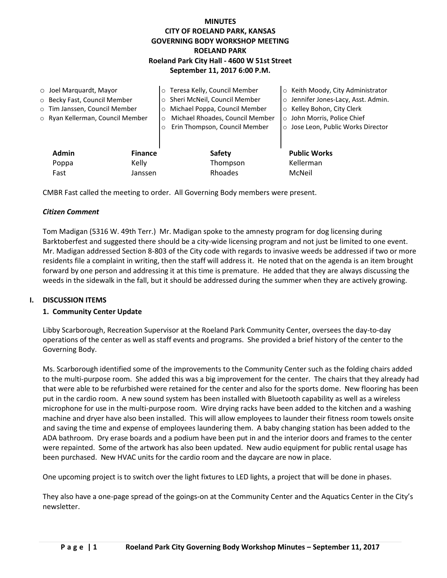# **MINUTES CITY OF ROELAND PARK, KANSAS GOVERNING BODY WORKSHOP MEETING ROELAND PARK Roeland Park City Hall - 4600 W 51st Street September 11, 2017 6:00 P.M.**

| $\circ$ Joel Marquardt, Mayor |                                  |                | o Teresa Kelly, Council Member             | ○ Keith Moody, City Administrator   |
|-------------------------------|----------------------------------|----------------|--------------------------------------------|-------------------------------------|
| ○ Becky Fast, Council Member  |                                  |                | ○ Sheri McNeil, Council Member             | o Jennifer Jones-Lacy, Asst. Admin. |
|                               | o Tim Janssen, Council Member    |                | o Michael Poppa, Council Member            | o Kelley Bohon, City Clerk          |
|                               | o Ryan Kellerman, Council Member |                | Michael Rhoades, Council Member<br>$\circ$ | o John Morris, Police Chief         |
|                               |                                  | $\circ$        | Erin Thompson, Council Member              | ○ Jose Leon, Public Works Director  |
|                               |                                  |                |                                            |                                     |
|                               | <b>Admin</b>                     | <b>Finance</b> | <b>Safety</b>                              | <b>Public Works</b>                 |
|                               | Kelly<br>Poppa                   |                | Thompson                                   | Kellerman                           |
|                               | Fast                             | Janssen        | Rhoades                                    | McNeil                              |

CMBR Fast called the meeting to order. All Governing Body members were present.

### *Citizen Comment*

Tom Madigan (5316 W. 49th Terr.) Mr. Madigan spoke to the amnesty program for dog licensing during Barktoberfest and suggested there should be a city-wide licensing program and not just be limited to one event. Mr. Madigan addressed Section 8-803 of the City code with regards to invasive weeds be addressed if two or more residents file a complaint in writing, then the staff will address it. He noted that on the agenda is an item brought forward by one person and addressing it at this time is premature. He added that they are always discussing the weeds in the sidewalk in the fall, but it should be addressed during the summer when they are actively growing.

### **I. DISCUSSION ITEMS**

### **1. Community Center Update**

Libby Scarborough, Recreation Supervisor at the Roeland Park Community Center, oversees the day-to-day operations of the center as well as staff events and programs. She provided a brief history of the center to the Governing Body.

Ms. Scarborough identified some of the improvements to the Community Center such as the folding chairs added to the multi-purpose room. She added this was a big improvement for the center. The chairs that they already had that were able to be refurbished were retained for the center and also for the sports dome. New flooring has been put in the cardio room. A new sound system has been installed with Bluetooth capability as well as a wireless microphone for use in the multi-purpose room. Wire drying racks have been added to the kitchen and a washing machine and dryer have also been installed. This will allow employees to launder their fitness room towels onsite and saving the time and expense of employees laundering them. A baby changing station has been added to the ADA bathroom. Dry erase boards and a podium have been put in and the interior doors and frames to the center were repainted. Some of the artwork has also been updated. New audio equipment for public rental usage has been purchased. New HVAC units for the cardio room and the daycare are now in place.

One upcoming project is to switch over the light fixtures to LED lights, a project that will be done in phases.

They also have a one-page spread of the goings-on at the Community Center and the Aquatics Center in the City's newsletter.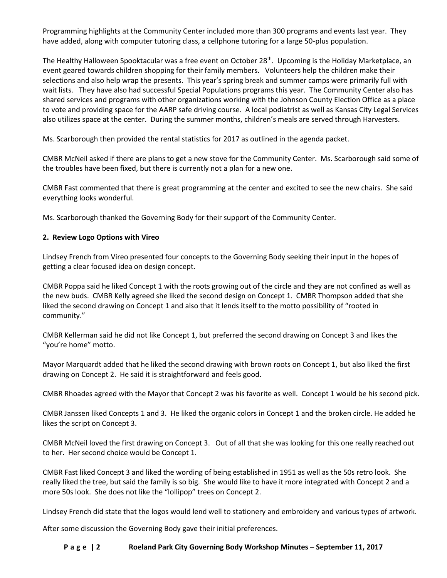Programming highlights at the Community Center included more than 300 programs and events last year. They have added, along with computer tutoring class, a cellphone tutoring for a large 50-plus population.

The Healthy Halloween Spooktacular was a free event on October 28<sup>th</sup>. Upcoming is the Holiday Marketplace, an event geared towards children shopping for their family members. Volunteers help the children make their selections and also help wrap the presents. This year's spring break and summer camps were primarily full with wait lists. They have also had successful Special Populations programs this year. The Community Center also has shared services and programs with other organizations working with the Johnson County Election Office as a place to vote and providing space for the AARP safe driving course. A local podiatrist as well as Kansas City Legal Services also utilizes space at the center. During the summer months, children's meals are served through Harvesters.

Ms. Scarborough then provided the rental statistics for 2017 as outlined in the agenda packet.

CMBR McNeil asked if there are plans to get a new stove for the Community Center. Ms. Scarborough said some of the troubles have been fixed, but there is currently not a plan for a new one.

CMBR Fast commented that there is great programming at the center and excited to see the new chairs. She said everything looks wonderful.

Ms. Scarborough thanked the Governing Body for their support of the Community Center.

# **2. Review Logo Options with Vireo**

Lindsey French from Vireo presented four concepts to the Governing Body seeking their input in the hopes of getting a clear focused idea on design concept.

CMBR Poppa said he liked Concept 1 with the roots growing out of the circle and they are not confined as well as the new buds. CMBR Kelly agreed she liked the second design on Concept 1. CMBR Thompson added that she liked the second drawing on Concept 1 and also that it lends itself to the motto possibility of "rooted in community."

CMBR Kellerman said he did not like Concept 1, but preferred the second drawing on Concept 3 and likes the "you're home" motto.

Mayor Marquardt added that he liked the second drawing with brown roots on Concept 1, but also liked the first drawing on Concept 2. He said it is straightforward and feels good.

CMBR Rhoades agreed with the Mayor that Concept 2 was his favorite as well. Concept 1 would be his second pick.

CMBR Janssen liked Concepts 1 and 3. He liked the organic colors in Concept 1 and the broken circle. He added he likes the script on Concept 3.

CMBR McNeil loved the first drawing on Concept 3. Out of all that she was looking for this one really reached out to her. Her second choice would be Concept 1.

CMBR Fast liked Concept 3 and liked the wording of being established in 1951 as well as the 50s retro look. She really liked the tree, but said the family is so big. She would like to have it more integrated with Concept 2 and a more 50s look. She does not like the "lollipop" trees on Concept 2.

Lindsey French did state that the logos would lend well to stationery and embroidery and various types of artwork.

After some discussion the Governing Body gave their initial preferences.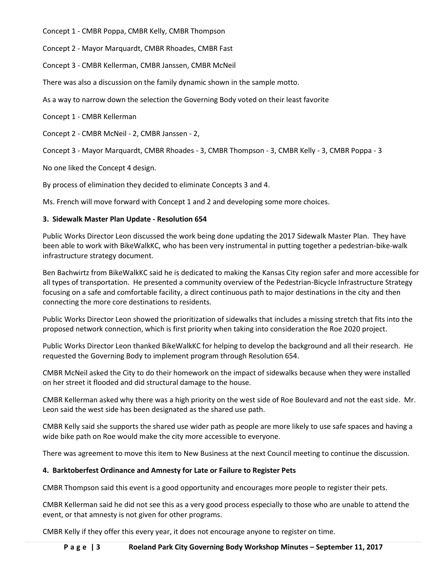Concept 1 - CMBR Poppa, CMBR Kelly, CMBR Thompson

Concept 2 - Mayor Marquardt, CMBR Rhoades, CMBR Fast

Concept 3 - CMBR Kellerman, CMBR Janssen, CMBR McNeil

There was also a discussion on the family dynamic shown in the sample motto.

As a way to narrow down the selection the Governing Body voted on their least favorite

Concept 1 - CMBR Kellerman

Concept 2 - CMBR McNeil - 2, CMBR Janssen - 2,

Concept 3 - Mayor Marquardt, CMBR Rhoades - 3, CMBR Thompson - 3, CMBR Kelly - 3, CMBR Poppa - 3

No one liked the Concept 4 design.

By process of elimination they decided to eliminate Concepts 3 and 4.

Ms. French will move forward with Concept 1 and 2 and developing some more choices.

# **3. Sidewalk Master Plan Update - Resolution 654**

Public Works Director Leon discussed the work being done updating the 2017 Sidewalk Master Plan. They have been able to work with BikeWalkKC, who has been very instrumental in putting together a pedestrian-bike-walk infrastructure strategy document.

Ben Bachwirtz from BikeWalkKC said he is dedicated to making the Kansas City region safer and more accessible for all types of transportation. He presented a community overview of the Pedestrian-Bicycle Infrastructure Strategy focusing on a safe and comfortable facility, a direct continuous path to major destinations in the city and then connecting the more core destinations to residents.

Public Works Director Leon showed the prioritization of sidewalks that includes a missing stretch that fits into the proposed network connection, which is first priority when taking into consideration the Roe 2020 project.

Public Works Director Leon thanked BikeWalkKC for helping to develop the background and all their research. He requested the Governing Body to implement program through Resolution 654.

CMBR McNeil asked the City to do their homework on the impact of sidewalks because when they were installed on her street it flooded and did structural damage to the house.

CMBR Kellerman asked why there was a high priority on the west side of Roe Boulevard and not the east side. Mr. Leon said the west side has been designated as the shared use path.

CMBR Kelly said she supports the shared use wider path as people are more likely to use safe spaces and having a wide bike path on Roe would make the city more accessible to everyone.

There was agreement to move this item to New Business at the next Council meeting to continue the discussion.

# **4. Barktoberfest Ordinance and Amnesty for Late or Failure to Register Pets**

CMBR Thompson said this event is a good opportunity and encourages more people to register their pets.

CMBR Kellerman said he did not see this as a very good process especially to those who are unable to attend the event, or that amnesty is not given for other programs.

CMBR Kelly if they offer this every year, it does not encourage anyone to register on time.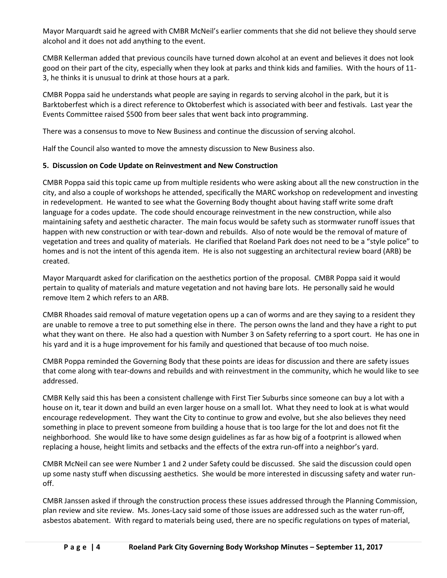Mayor Marquardt said he agreed with CMBR McNeil's earlier comments that she did not believe they should serve alcohol and it does not add anything to the event.

CMBR Kellerman added that previous councils have turned down alcohol at an event and believes it does not look good on their part of the city, especially when they look at parks and think kids and families. With the hours of 11- 3, he thinks it is unusual to drink at those hours at a park.

CMBR Poppa said he understands what people are saying in regards to serving alcohol in the park, but it is Barktoberfest which is a direct reference to Oktoberfest which is associated with beer and festivals. Last year the Events Committee raised \$500 from beer sales that went back into programming.

There was a consensus to move to New Business and continue the discussion of serving alcohol.

Half the Council also wanted to move the amnesty discussion to New Business also.

# **5. Discussion on Code Update on Reinvestment and New Construction**

CMBR Poppa said this topic came up from multiple residents who were asking about all the new construction in the city, and also a couple of workshops he attended, specifically the MARC workshop on redevelopment and investing in redevelopment. He wanted to see what the Governing Body thought about having staff write some draft language for a codes update. The code should encourage reinvestment in the new construction, while also maintaining safety and aesthetic character. The main focus would be safety such as stormwater runoff issues that happen with new construction or with tear-down and rebuilds. Also of note would be the removal of mature of vegetation and trees and quality of materials. He clarified that Roeland Park does not need to be a "style police" to homes and is not the intent of this agenda item. He is also not suggesting an architectural review board (ARB) be created.

Mayor Marquardt asked for clarification on the aesthetics portion of the proposal. CMBR Poppa said it would pertain to quality of materials and mature vegetation and not having bare lots. He personally said he would remove Item 2 which refers to an ARB.

CMBR Rhoades said removal of mature vegetation opens up a can of worms and are they saying to a resident they are unable to remove a tree to put something else in there. The person owns the land and they have a right to put what they want on there. He also had a question with Number 3 on Safety referring to a sport court. He has one in his yard and it is a huge improvement for his family and questioned that because of too much noise.

CMBR Poppa reminded the Governing Body that these points are ideas for discussion and there are safety issues that come along with tear-downs and rebuilds and with reinvestment in the community, which he would like to see addressed.

CMBR Kelly said this has been a consistent challenge with First Tier Suburbs since someone can buy a lot with a house on it, tear it down and build an even larger house on a small lot. What they need to look at is what would encourage redevelopment. They want the City to continue to grow and evolve, but she also believes they need something in place to prevent someone from building a house that is too large for the lot and does not fit the neighborhood. She would like to have some design guidelines as far as how big of a footprint is allowed when replacing a house, height limits and setbacks and the effects of the extra run-off into a neighbor's yard.

CMBR McNeil can see were Number 1 and 2 under Safety could be discussed. She said the discussion could open up some nasty stuff when discussing aesthetics. She would be more interested in discussing safety and water runoff.

CMBR Janssen asked if through the construction process these issues addressed through the Planning Commission, plan review and site review. Ms. Jones-Lacy said some of those issues are addressed such as the water run-off, asbestos abatement. With regard to materials being used, there are no specific regulations on types of material,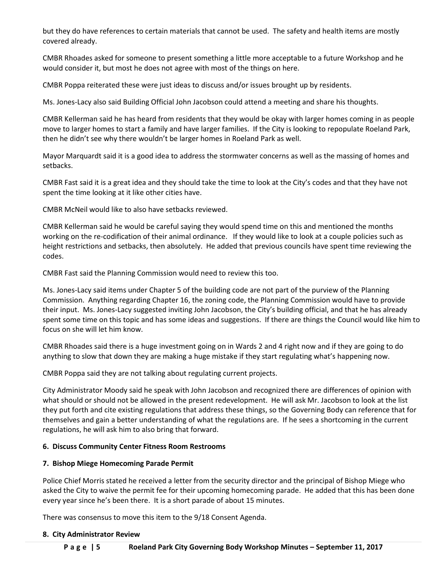but they do have references to certain materials that cannot be used. The safety and health items are mostly covered already.

CMBR Rhoades asked for someone to present something a little more acceptable to a future Workshop and he would consider it, but most he does not agree with most of the things on here.

CMBR Poppa reiterated these were just ideas to discuss and/or issues brought up by residents.

Ms. Jones-Lacy also said Building Official John Jacobson could attend a meeting and share his thoughts.

CMBR Kellerman said he has heard from residents that they would be okay with larger homes coming in as people move to larger homes to start a family and have larger families. If the City is looking to repopulate Roeland Park, then he didn't see why there wouldn't be larger homes in Roeland Park as well.

Mayor Marquardt said it is a good idea to address the stormwater concerns as well as the massing of homes and setbacks.

CMBR Fast said it is a great idea and they should take the time to look at the City's codes and that they have not spent the time looking at it like other cities have.

CMBR McNeil would like to also have setbacks reviewed.

CMBR Kellerman said he would be careful saying they would spend time on this and mentioned the months working on the re-codification of their animal ordinance. If they would like to look at a couple policies such as height restrictions and setbacks, then absolutely. He added that previous councils have spent time reviewing the codes.

CMBR Fast said the Planning Commission would need to review this too.

Ms. Jones-Lacy said items under Chapter 5 of the building code are not part of the purview of the Planning Commission. Anything regarding Chapter 16, the zoning code, the Planning Commission would have to provide their input. Ms. Jones-Lacy suggested inviting John Jacobson, the City's building official, and that he has already spent some time on this topic and has some ideas and suggestions. If there are things the Council would like him to focus on she will let him know.

CMBR Rhoades said there is a huge investment going on in Wards 2 and 4 right now and if they are going to do anything to slow that down they are making a huge mistake if they start regulating what's happening now.

CMBR Poppa said they are not talking about regulating current projects.

City Administrator Moody said he speak with John Jacobson and recognized there are differences of opinion with what should or should not be allowed in the present redevelopment. He will ask Mr. Jacobson to look at the list they put forth and cite existing regulations that address these things, so the Governing Body can reference that for themselves and gain a better understanding of what the regulations are. If he sees a shortcoming in the current regulations, he will ask him to also bring that forward.

# **6. Discuss Community Center Fitness Room Restrooms**

# **7. Bishop Miege Homecoming Parade Permit**

Police Chief Morris stated he received a letter from the security director and the principal of Bishop Miege who asked the City to waive the permit fee for their upcoming homecoming parade. He added that this has been done every year since he's been there. It is a short parade of about 15 minutes.

There was consensus to move this item to the 9/18 Consent Agenda.

### **8. City Administrator Review**